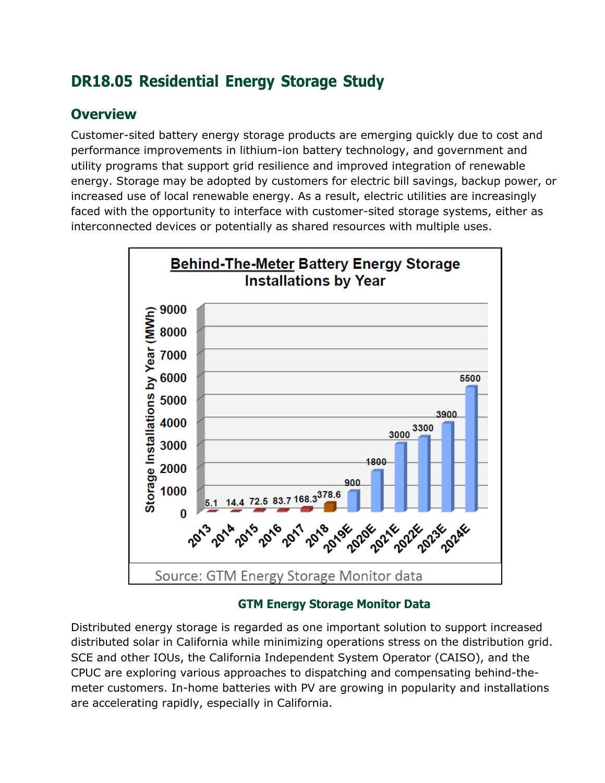# **DR18.05 Residential Energy Storage Study**

### **Overview**

Customer-sited battery energy storage products are emerging quickly due to cost and performance improvements in lithium-ion battery technology, and government and utility programs that support grid resilience and improved integration of renewable energy. Storage may be adopted by customers for electric bill savings, backup power, or increased use of local renewable energy. As a result, electric utilities are increasingly faced with the opportunity to interface with customer-sited storage systems, either as interconnected devices or potentially as shared resources with multiple uses.



### **GTM Energy Storage Monitor Data**

Distributed energy storage is regarded as one important solution to support increased distributed solar in California while minimizing operations stress on the distribution grid. SCE and other IOUs, the California Independent System Operator (CAISO), and the CPUC are exploring various approaches to dispatching and compensating behind-themeter customers. In-home batteries with PV are growing in popularity and installations are accelerating rapidly, especially in California.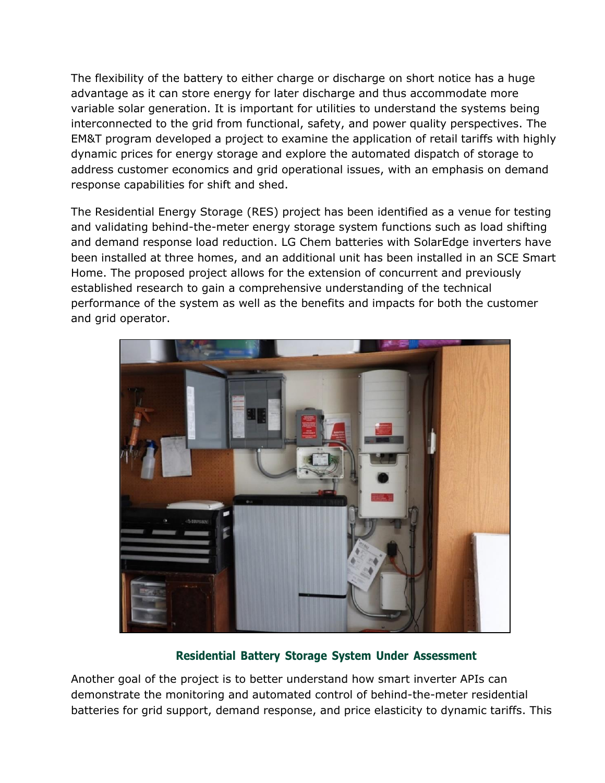The flexibility of the battery to either charge or discharge on short notice has a huge advantage as it can store energy for later discharge and thus accommodate more variable solar generation. It is important for utilities to understand the systems being interconnected to the grid from functional, safety, and power quality perspectives. The EM&T program developed a project to examine the application of retail tariffs with highly dynamic prices for energy storage and explore the automated dispatch of storage to address customer economics and grid operational issues, with an emphasis on demand response capabilities for shift and shed.

The Residential Energy Storage (RES) project has been identified as a venue for testing and validating behind-the-meter energy storage system functions such as load shifting and demand response load reduction. LG Chem batteries with SolarEdge inverters have been installed at three homes, and an additional unit has been installed in an SCE Smart Home. The proposed project allows for the extension of concurrent and previously established research to gain a comprehensive understanding of the technical performance of the system as well as the benefits and impacts for both the customer and grid operator.



#### **Residential Battery Storage System Under Assessment**

Another goal of the project is to better understand how smart inverter APIs can demonstrate the monitoring and automated control of behind-the-meter residential batteries for grid support, demand response, and price elasticity to dynamic tariffs. This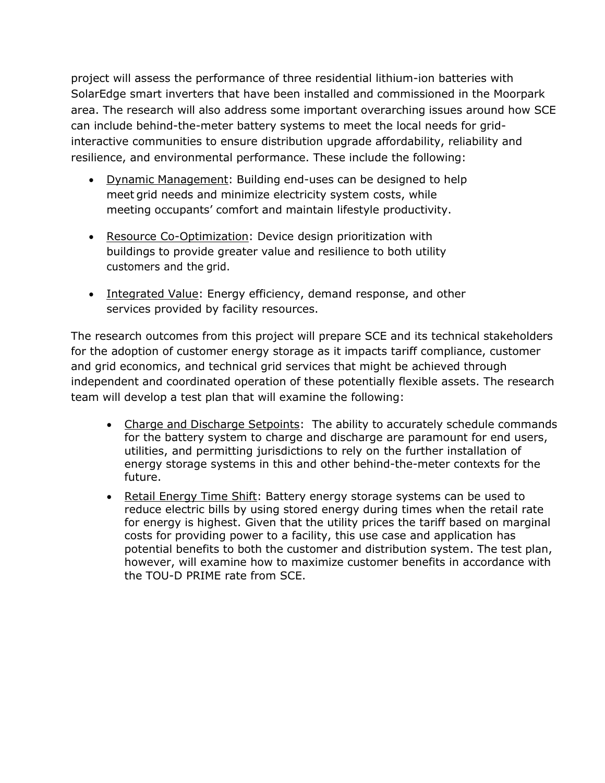project will assess the performance of three residential lithium-ion batteries with SolarEdge smart inverters that have been installed and commissioned in the Moorpark area. The research will also address some important overarching issues around how SCE can include behind-the-meter battery systems to meet the local needs for gridinteractive communities to ensure distribution upgrade affordability, reliability and resilience, and environmental performance. These include the following:

- Dynamic Management: Building end-uses can be designed to help meet grid needs and minimize electricity system costs, while meeting occupants' comfort and maintain lifestyle productivity.
- Resource Co-Optimization: Device design prioritization with buildings to provide greater value and resilience to both utility customers and the grid.
- Integrated Value: Energy efficiency, demand response, and other services provided by facility resources.

The research outcomes from this project will prepare SCE and its technical stakeholders for the adoption of customer energy storage as it impacts tariff compliance, customer and grid economics, and technical grid services that might be achieved through independent and coordinated operation of these potentially flexible assets. The research team will develop a test plan that will examine the following:

- Charge and Discharge Setpoints: The ability to accurately schedule commands for the battery system to charge and discharge are paramount for end users, utilities, and permitting jurisdictions to rely on the further installation of energy storage systems in this and other behind-the-meter contexts for the future.
- Retail Energy Time Shift: Battery energy storage systems can be used to reduce electric bills by using stored energy during times when the retail rate for energy is highest. Given that the utility prices the tariff based on marginal costs for providing power to a facility, this use case and application has potential benefits to both the customer and distribution system. The test plan, however, will examine how to maximize customer benefits in accordance with the TOU-D PRIME rate from SCE.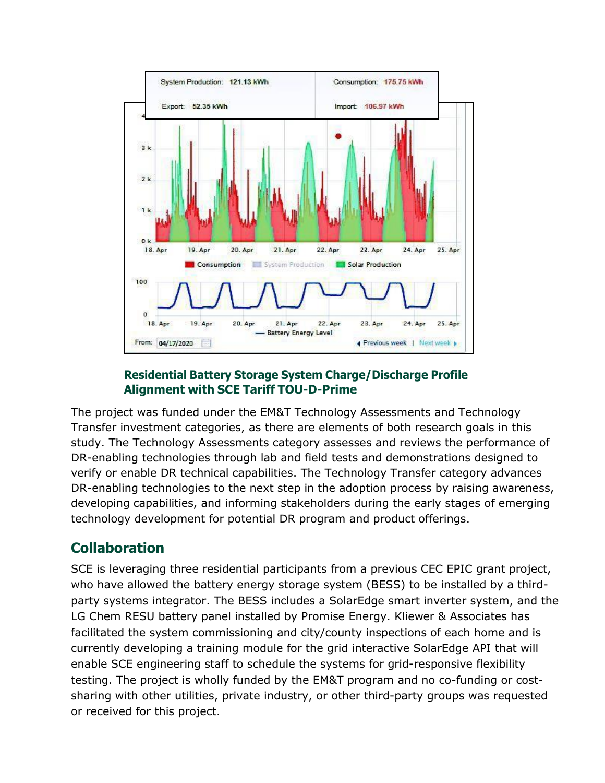

#### **Residential Battery Storage System Charge/Discharge Profile Alignment with SCE Tariff TOU-D-Prime**

The project was funded under the EM&T Technology Assessments and Technology Transfer investment categories, as there are elements of both research goals in this study. The Technology Assessments category assesses and reviews the performance of DR-enabling technologies through lab and field tests and demonstrations designed to verify or enable DR technical capabilities. The Technology Transfer category advances DR-enabling technologies to the next step in the adoption process by raising awareness, developing capabilities, and informing stakeholders during the early stages of emerging technology development for potential DR program and product offerings.

## **Collaboration**

SCE is leveraging three residential participants from a previous CEC EPIC grant project, who have allowed the battery energy storage system (BESS) to be installed by a thirdparty systems integrator. The BESS includes a SolarEdge smart inverter system, and the LG Chem RESU battery panel installed by Promise Energy. Kliewer & Associates has facilitated the system commissioning and city/county inspections of each home and is currently developing a training module for the grid interactive SolarEdge API that will enable SCE engineering staff to schedule the systems for grid-responsive flexibility testing. The project is wholly funded by the EM&T program and no co-funding or costsharing with other utilities, private industry, or other third-party groups was requested or received for this project.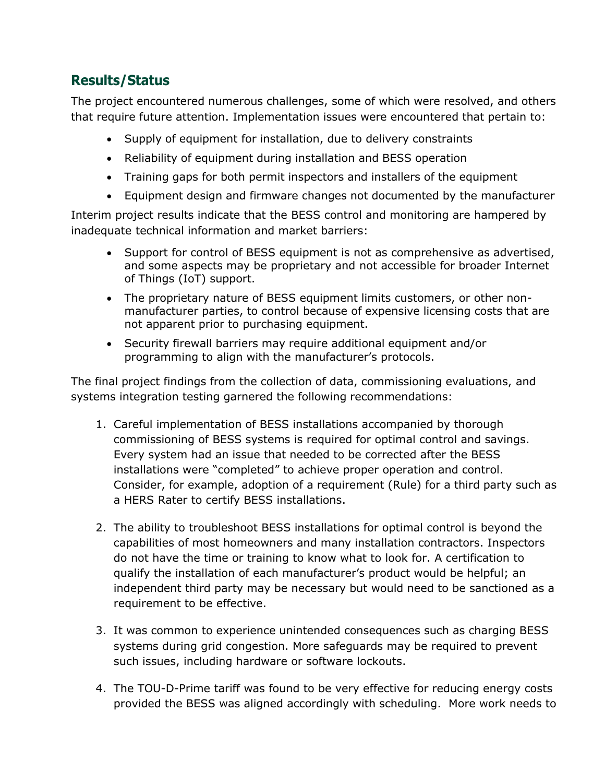### **Results/Status**

The project encountered numerous challenges, some of which were resolved, and others that require future attention. Implementation issues were encountered that pertain to:

- Supply of equipment for installation, due to delivery constraints
- Reliability of equipment during installation and BESS operation
- Training gaps for both permit inspectors and installers of the equipment
- Equipment design and firmware changes not documented by the manufacturer

Interim project results indicate that the BESS control and monitoring are hampered by inadequate technical information and market barriers:

- Support for control of BESS equipment is not as comprehensive as advertised, and some aspects may be proprietary and not accessible for broader Internet of Things (IoT) support.
- The proprietary nature of BESS equipment limits customers, or other nonmanufacturer parties, to control because of expensive licensing costs that are not apparent prior to purchasing equipment.
- Security firewall barriers may require additional equipment and/or programming to align with the manufacturer's protocols.

The final project findings from the collection of data, commissioning evaluations, and systems integration testing garnered the following recommendations:

- 1. Careful implementation of BESS installations accompanied by thorough commissioning of BESS systems is required for optimal control and savings. Every system had an issue that needed to be corrected after the BESS installations were "completed" to achieve proper operation and control. Consider, for example, adoption of a requirement (Rule) for a third party such as a HERS Rater to certify BESS installations.
- 2. The ability to troubleshoot BESS installations for optimal control is beyond the capabilities of most homeowners and many installation contractors. Inspectors do not have the time or training to know what to look for. A certification to qualify the installation of each manufacturer's product would be helpful; an independent third party may be necessary but would need to be sanctioned as a requirement to be effective.
- 3. It was common to experience unintended consequences such as charging BESS systems during grid congestion. More safeguards may be required to prevent such issues, including hardware or software lockouts.
- 4. The TOU-D-Prime tariff was found to be very effective for reducing energy costs provided the BESS was aligned accordingly with scheduling. More work needs to